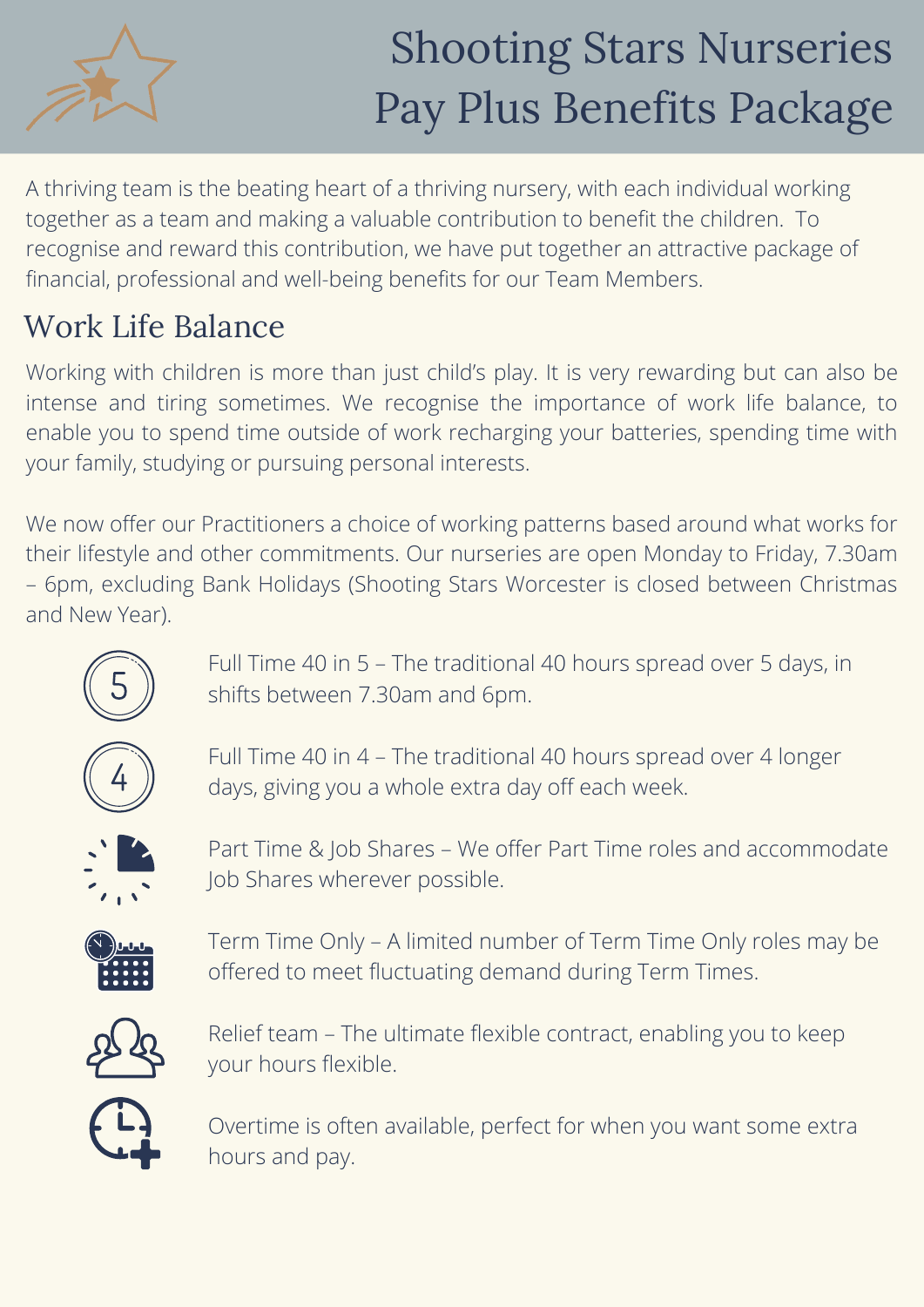

A thriving team is the beating heart of a thriving nursery, with each individual working together as a team and making a valuable contribution to benefit the children. To recognise and reward this contribution, we have put together an attractive package of financial, professional and well-being benefits for our Team Members.

## Work Life Balance

Working with children is more than just child's play. It is very rewarding but can also be intense and tiring sometimes. We recognise the importance of work life balance, to enable you to spend time outside of work recharging your batteries, spending time with your family, studying or pursuing personal interests.

We now offer our Practitioners a choice of working patterns based around what works for their lifestyle and other commitments. Our nurseries are open Monday to Friday, 7.30am – 6pm, excluding Bank Holidays (Shooting Stars Worcester is closed between Christmas and New Year).



Full Time 40 in 5 – The traditional 40 hours spread over 5 days, in shifts between 7.30am and 6pm.



Full Time 40 in 4 – The traditional 40 hours spread over 4 longer days, giving you a whole extra day off each week.



Part Time & Job Shares – We offer Part Time roles and accommodate Job Shares wherever possible.



Term Time Only – A limited number of Term Time Only roles may be offered to meet fluctuating demand during Term Times.



Relief team – The ultimate flexible contract, enabling you to keep your hours flexible.



Overtime is often available, perfect for when you want some extra hours and pay.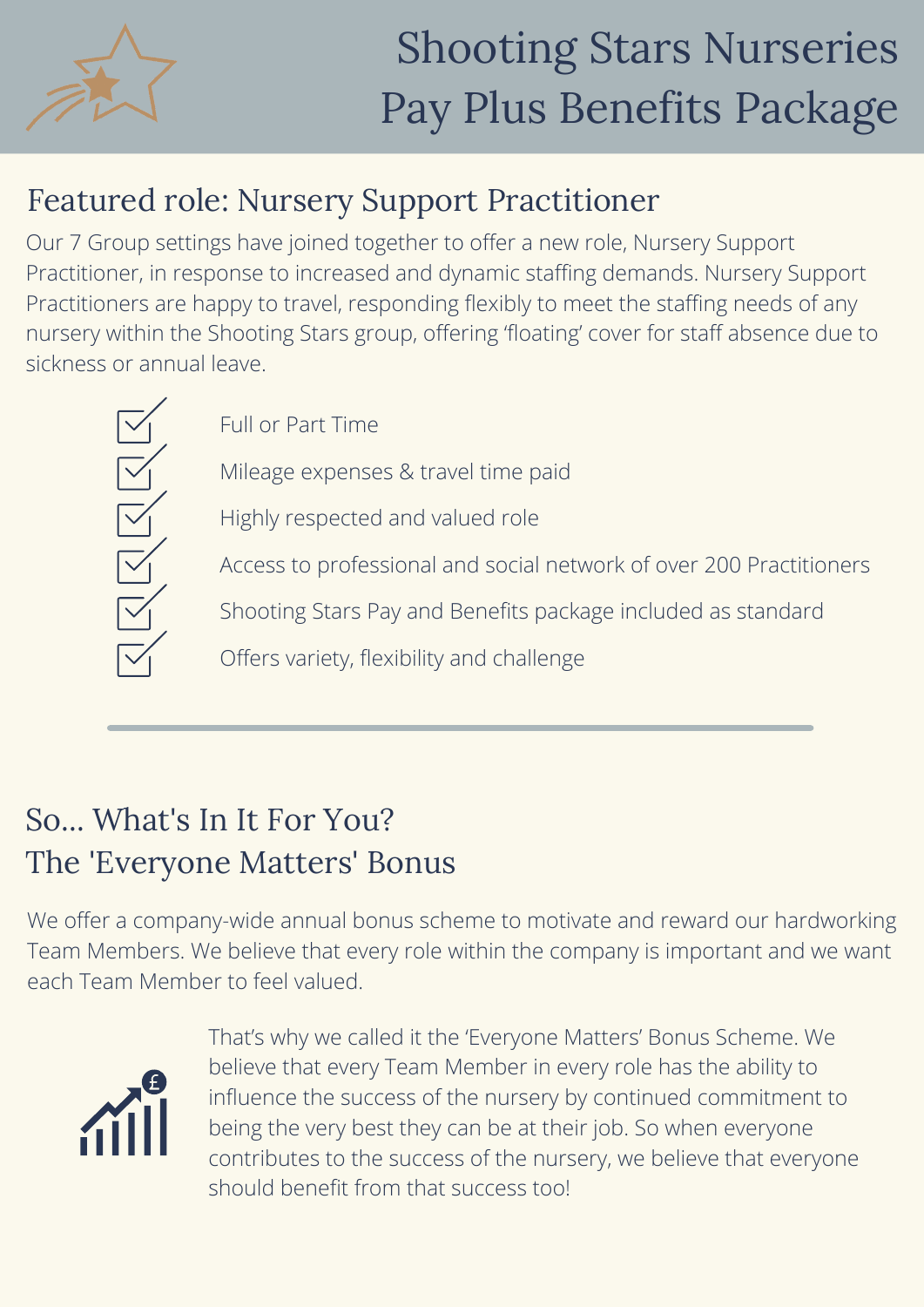

## Featured role: Nursery Support Practitioner

Our 7 Group settings have joined together to offer a new role, Nursery Support Practitioner, in response to increased and dynamic staffing demands. Nursery Support Practitioners are happy to travel, responding flexibly to meet the staffing needs of any nursery within the Shooting Stars group, offering 'floating' cover for staff absence due to sickness or annual leave.



Full or Part Time

Mileage expenses & travel time paid

Highly respected and valued role

Access to professional and social network of over 200 Practitioners

Shooting Stars Pay and Benefits package included as standard

Offers variety, flexibility and challenge

## So... What's In It For You? The 'Everyone Matters' Bonus

We offer a company-wide annual bonus scheme to motivate and reward our hardworking Team Members. We believe that every role within the company is important and we want each Team Member to feel valued.



That's why we called it the 'Everyone Matters' Bonus Scheme. We believe that every Team Member in every role has the ability to influence the success of the nursery by continued commitment to being the very best they can be at their job. So when everyone contributes to the success of the nursery, we believe that everyone should benefit from that success too!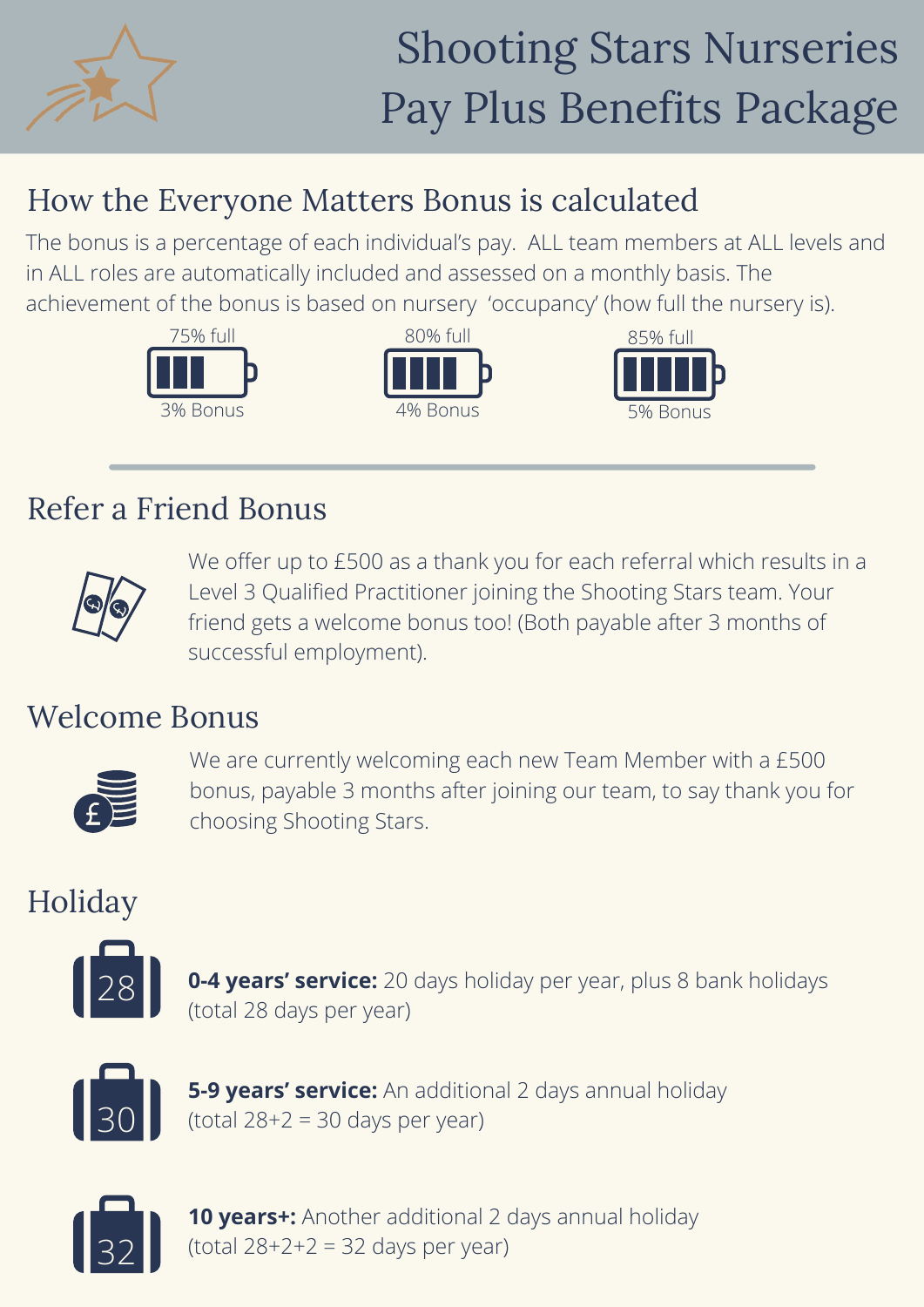

## How the Everyone Matters Bonus is calculated

The bonus is a percentage of each individual's pay. ALL team members at ALL levels and in ALL roles are automatically included and assessed on a monthly basis. The achievement of the bonus is based on nursery 'occupancy' (how full the nursery is).





#### Refer a Friend Bonus



We offer up to £500 as a thank you for each referral which results in a Level 3 Qualified Practitioner joining the Shooting Stars team. Your friend gets a welcome bonus too! (Both payable after 3 months of successful employment).

#### Welcome Bonus



We are currently welcoming each new Team Member with a £500 bonus, payable 3 months after joining our team, to say thank you for choosing Shooting Stars.

### Holiday



**0-4 years' service:** 20 days holiday per year, plus 8 bank holidays (total 28 days per year)



**5-9 years' service:** An additional 2 days annual holiday (total  $28+2 = 30$  days per year)



**10 years+:** Another additional 2 days annual holiday (total  $28+2+2 = 32$  days per year)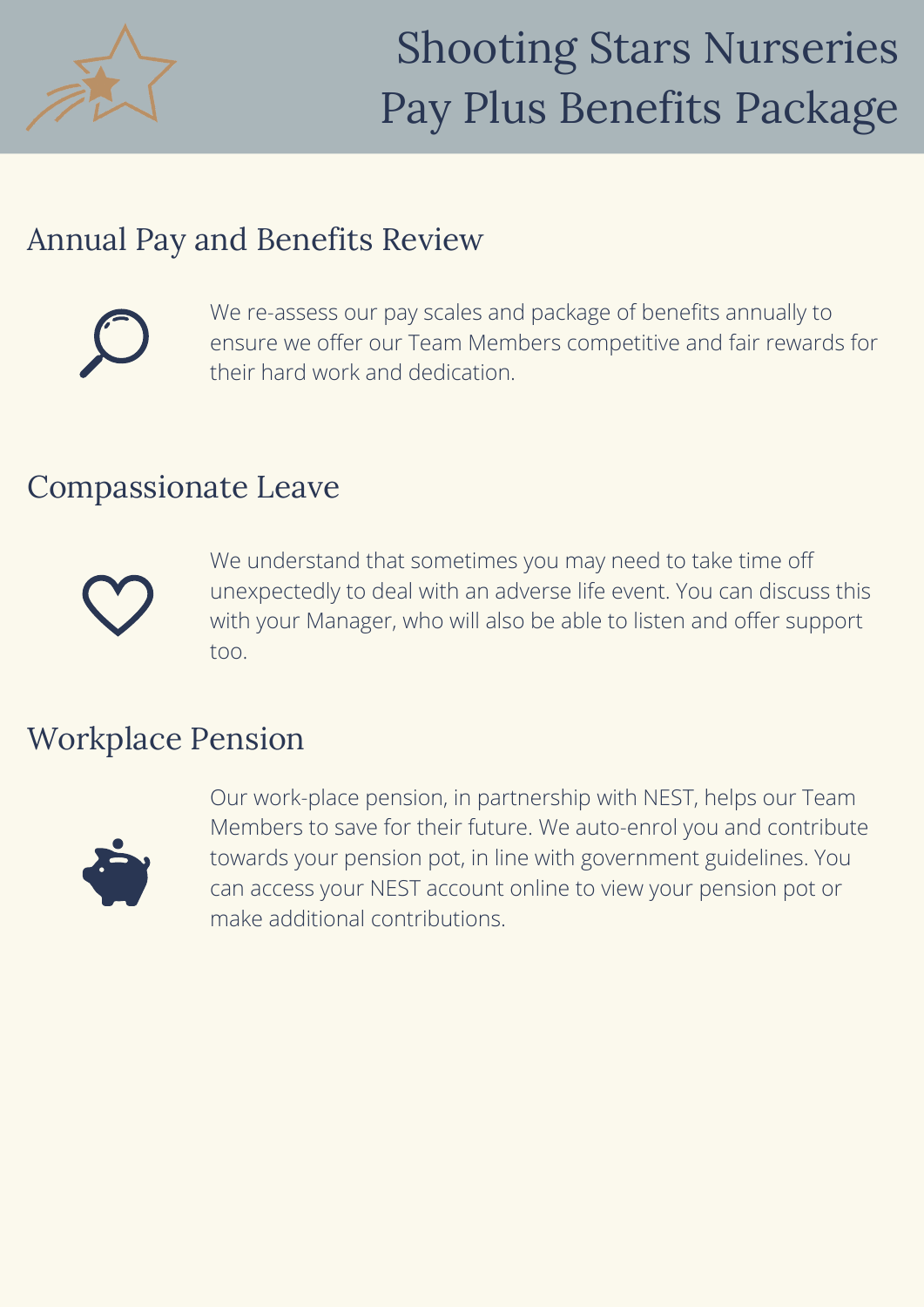

#### Annual Pay and Benefits Review



We re-assess our pay scales and package of benefits annually to ensure we offer our Team Members competitive and fair rewards for their hard work and dedication.

#### Compassionate Leave



We understand that sometimes you may need to take time off unexpectedly to deal with an adverse life event. You can discuss this with your Manager, who will also be able to listen and offer support too.

#### Workplace Pension



Our work-place pension, in partnership with NEST, helps our Team Members to save for their future. We auto-enrol you and contribute towards your pension pot, in line with government guidelines. You can access your NEST account online to view your pension pot or make additional contributions.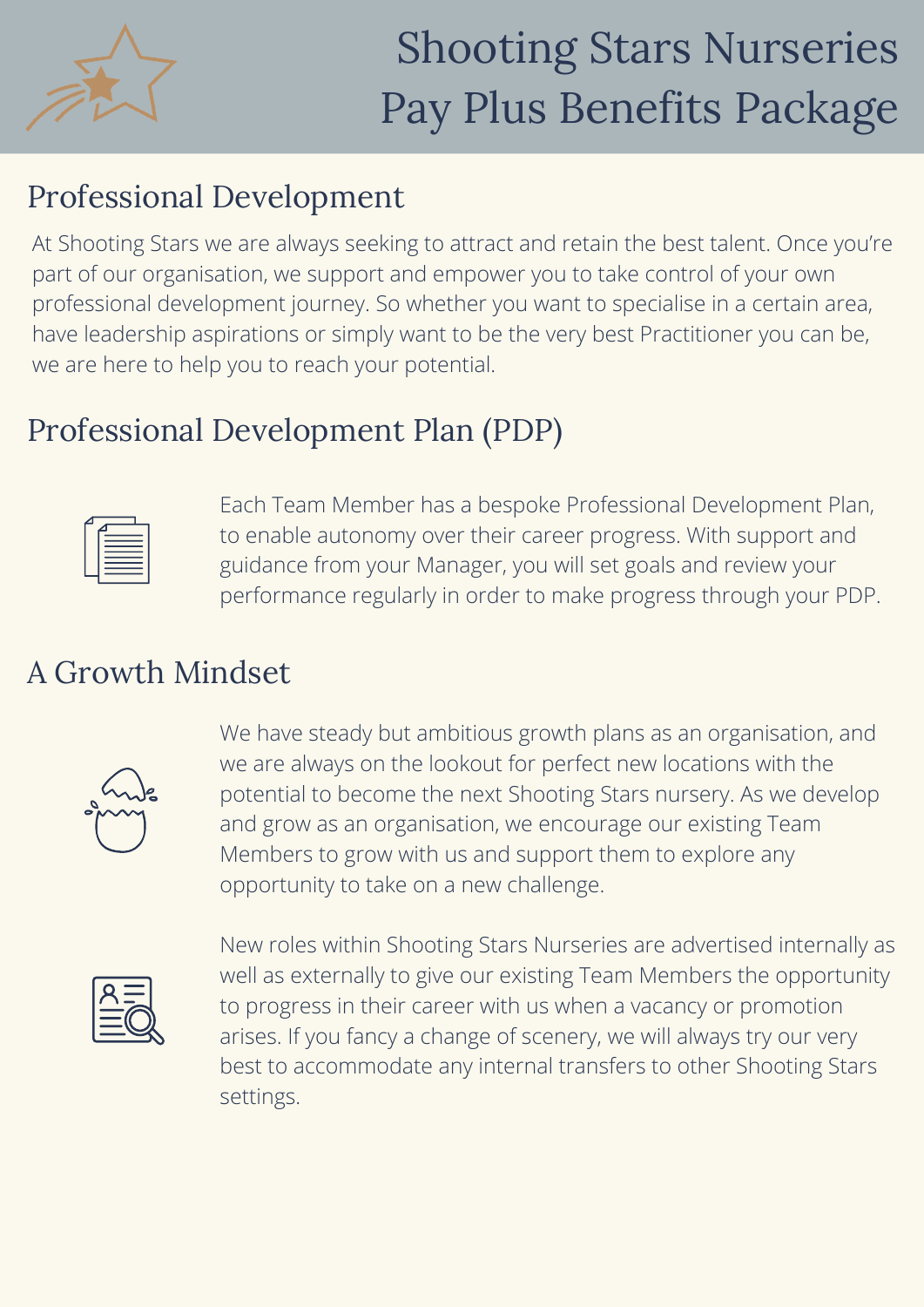

### Professional Development

At Shooting Stars we are always seeking to attract and retain the best talent. Once you're part of our organisation, we support and empower you to take control of your own professional development journey. So whether you want to specialise in a certain area, have leadership aspirations or simply want to be the very best Practitioner you can be, we are here to help you to reach your potential.

### Professional Development Plan (PDP)

Each Team Member has a bespoke Professional Development Plan, to enable autonomy over their career progress. With support and guidance from your Manager, you will set goals and review your performance regularly in order to make progress through your PDP.

### A Growth Mindset



We have steady but ambitious growth plans as an organisation, and we are always on the lookout for perfect new locations with the potential to become the next Shooting Stars nursery. As we develop and grow as an organisation, we encourage our existing Team Members to grow with us and support them to explore any opportunity to take on a new challenge.



New roles within Shooting Stars Nurseries are advertised internally as well as externally to give our existing Team Members the opportunity to progress in their career with us when a vacancy or promotion arises. If you fancy a change of scenery, we will always try our very best to accommodate any internal transfers to other Shooting Stars settings.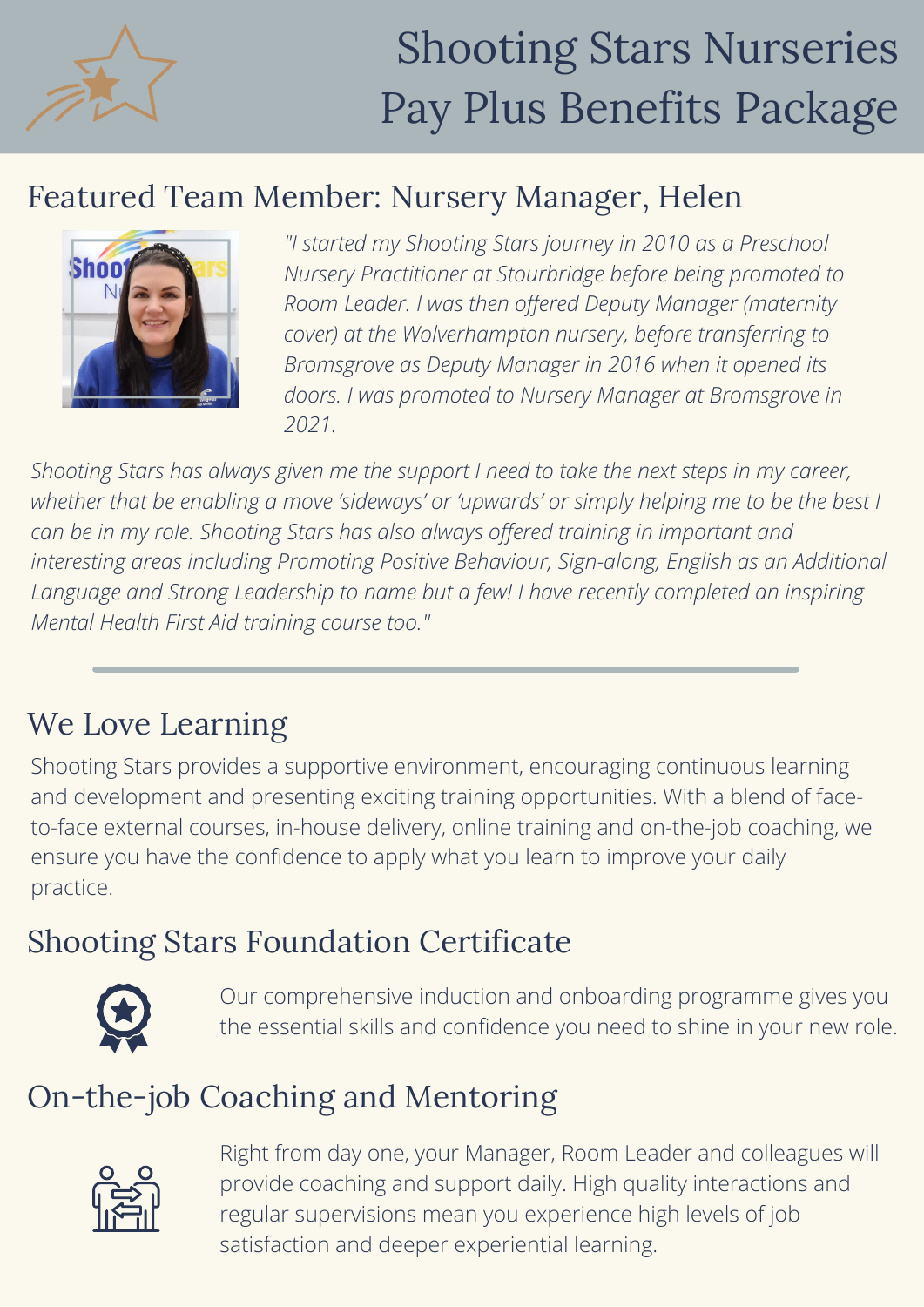

### Featured Team Member: Nursery Manager, Helen



*"I started my Shooting Stars journey in 2010 as a Preschool Nursery Practitioner at Stourbridge before being promoted to Room Leader. I was then offered Deputy Manager (maternity cover) at the Wolverhampton nursery, before transferring to Bromsgrove as Deputy Manager in 2016 when it opened its doors. I was promoted to Nursery Manager at Bromsgrove in 2021.*

*Shooting Stars has always given me the support I need to take the next steps in my career, whether that be enabling a move 'sideways' or 'upwards' or simply helping me to be the best I can be in my role. Shooting Stars has also always offered training in important and interesting areas including Promoting Positive Behaviour, Sign-along, English as an Additional Language and Strong Leadership to name but a few! I have recently completed an inspiring Mental Health First Aid training course too."*

## We Love Learning

Shooting Stars provides a supportive environment, encouraging continuous learning and development and presenting exciting training opportunities. With a blend of faceto-face external courses, in-house delivery, online training and on-the-job coaching, we ensure you have the confidence to apply what you learn to improve your daily practice.

### Shooting Stars Foundation Certificate



Our comprehensive induction and onboarding programme gives you the essential skills and confidence you need to shine in your new role.

#### On-the-job Coaching and Mentoring



Right from day one, your Manager, Room Leader and colleagues will provide coaching and support daily. High quality interactions and regular supervisions mean you experience high levels of job satisfaction and deeper experiential learning.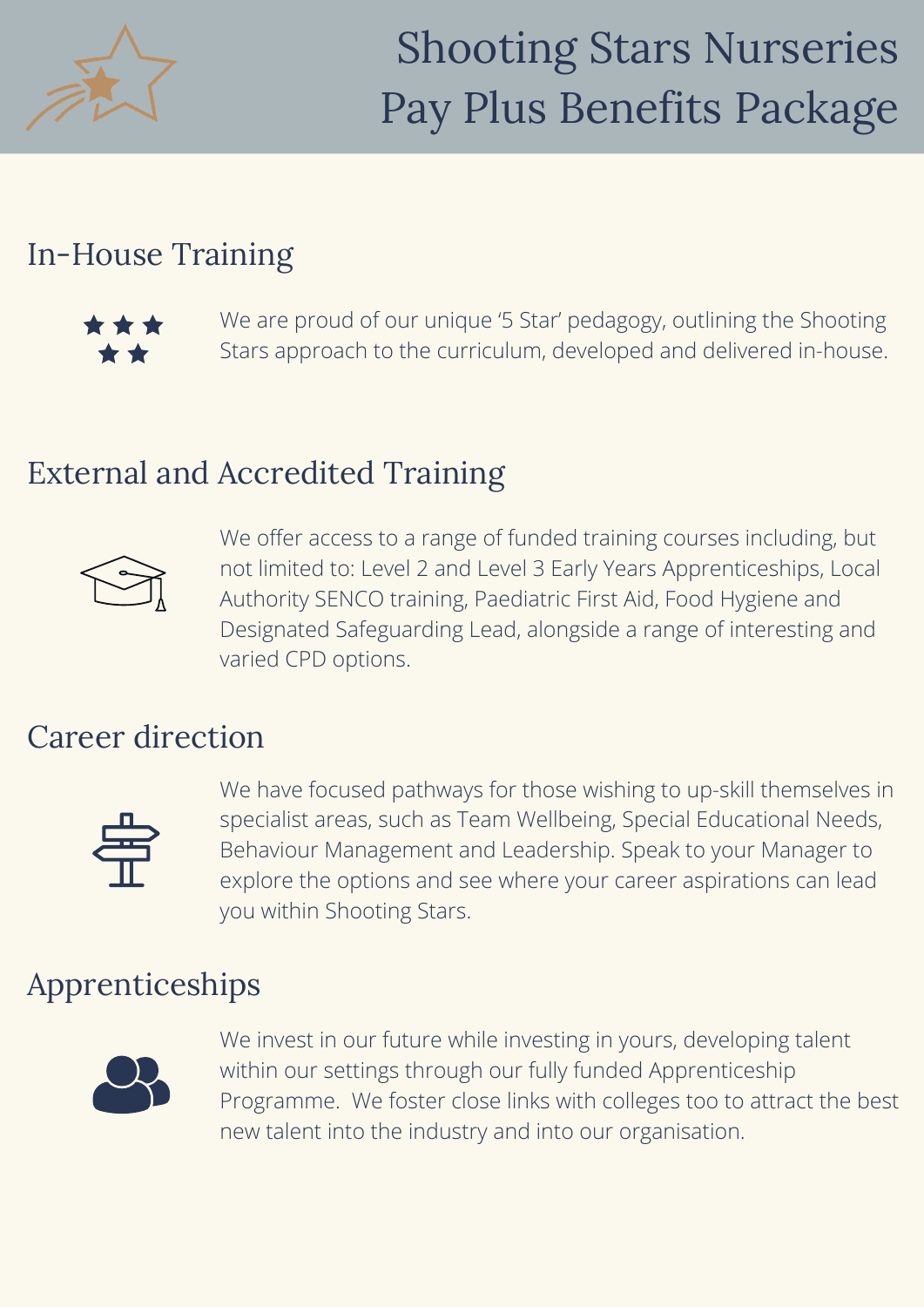

#### In-House Training



We are proud of our unique '5 Star' pedagogy, outlining the Shooting Stars approach to the curriculum, developed and delivered in-house.

#### External and Accredited Training



We offer access to a range of funded training courses including, but not limited to: Level 2 and Level 3 Early Years Apprenticeships, Local Authority SENCO training, Paediatric First Aid, Food Hygiene and Designated Safeguarding Lead, alongside a range of interesting and varied CPD options.

### Career direction



We have focused pathways for those wishing to up-skill themselves in specialist areas, such as Team Wellbeing, Special Educational Needs, Behaviour Management and Leadership. Speak to your Manager to explore the options and see where your career aspirations can lead you within Shooting Stars.

### Apprenticeships



We invest in our future while investing in yours, developing talent within our settings through our fully funded Apprenticeship Programme. We foster close links with colleges too to attract the best new talent into the industry and into our organisation.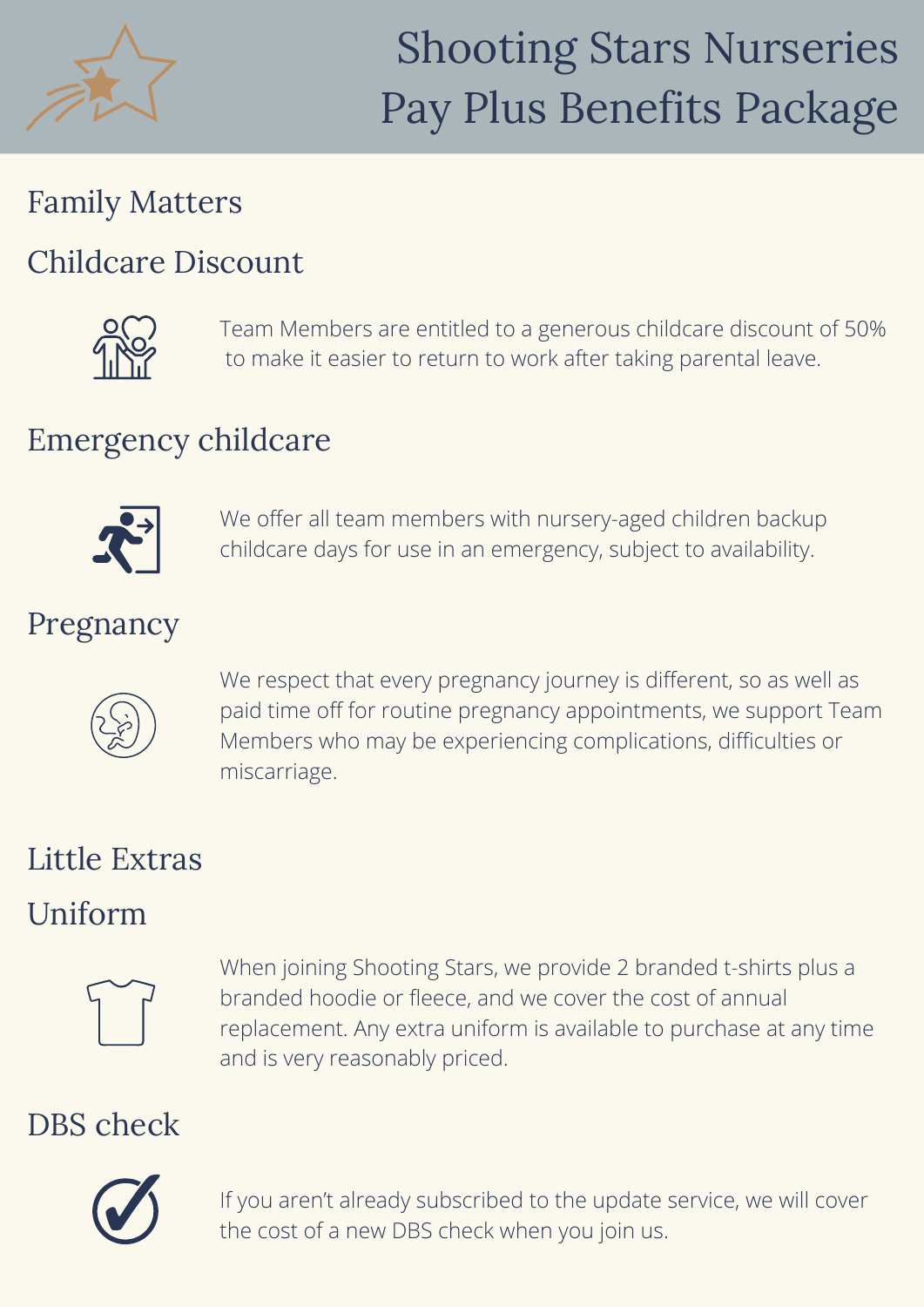

### Family Matters

#### Childcare Discount



Team Members are entitled to a generous childcare discount of 50% to make it easier to return to work after taking parental leave.

## Emergency childcare



We offer all team members with nursery-aged children backup childcare days for use in an emergency, subject to availability.

### Pregnancy



We respect that every pregnancy journey is different, so as well as paid time off for routine pregnancy appointments, we support Team Members who may be experiencing complications, difficulties or miscarriage.

## Little Extras

#### Uniform



When joining Shooting Stars, we provide 2 branded t-shirts plus a branded hoodie or fleece, and we cover the cost of annual replacement. Any extra uniform is available to purchase at any time and is very reasonably priced.

## DBS check



If you aren't already subscribed to the update service, we will cover the cost of a new DBS check when you join us.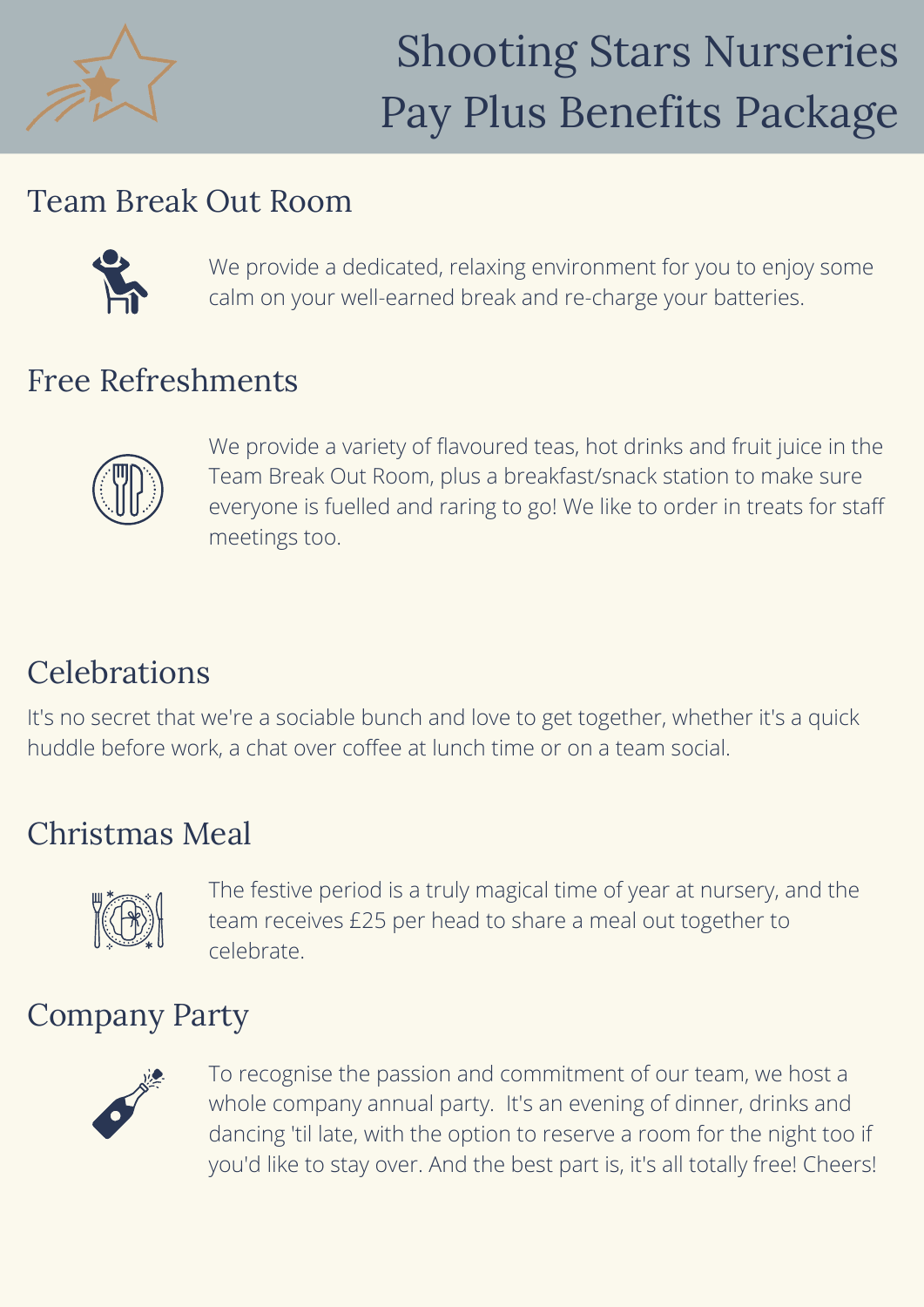

#### Team Break Out Room



We provide a dedicated, relaxing environment for you to enjoy some calm on your well-earned break and re-charge your batteries.

#### Free Refreshments



We provide a variety of flavoured teas, hot drinks and fruit juice in the Team Break Out Room, plus a breakfast/snack station to make sure everyone is fuelled and raring to go! We like to order in treats for staff meetings too.

## **Celebrations**

It's no secret that we're a sociable bunch and love to get together, whether it's a quick huddle before work, a chat over coffee at lunch time or on a team social.

## Christmas Meal



The festive period is a truly magical time of year at nursery, and the team receives £25 per head to share a meal out together to celebrate.

## Company Party



To recognise the passion and commitment of our team, we host a whole company annual party. It's an evening of dinner, drinks and dancing 'til late, with the option to reserve a room for the night too if you'd like to stay over. And the best part is, it's all totally free! Cheers!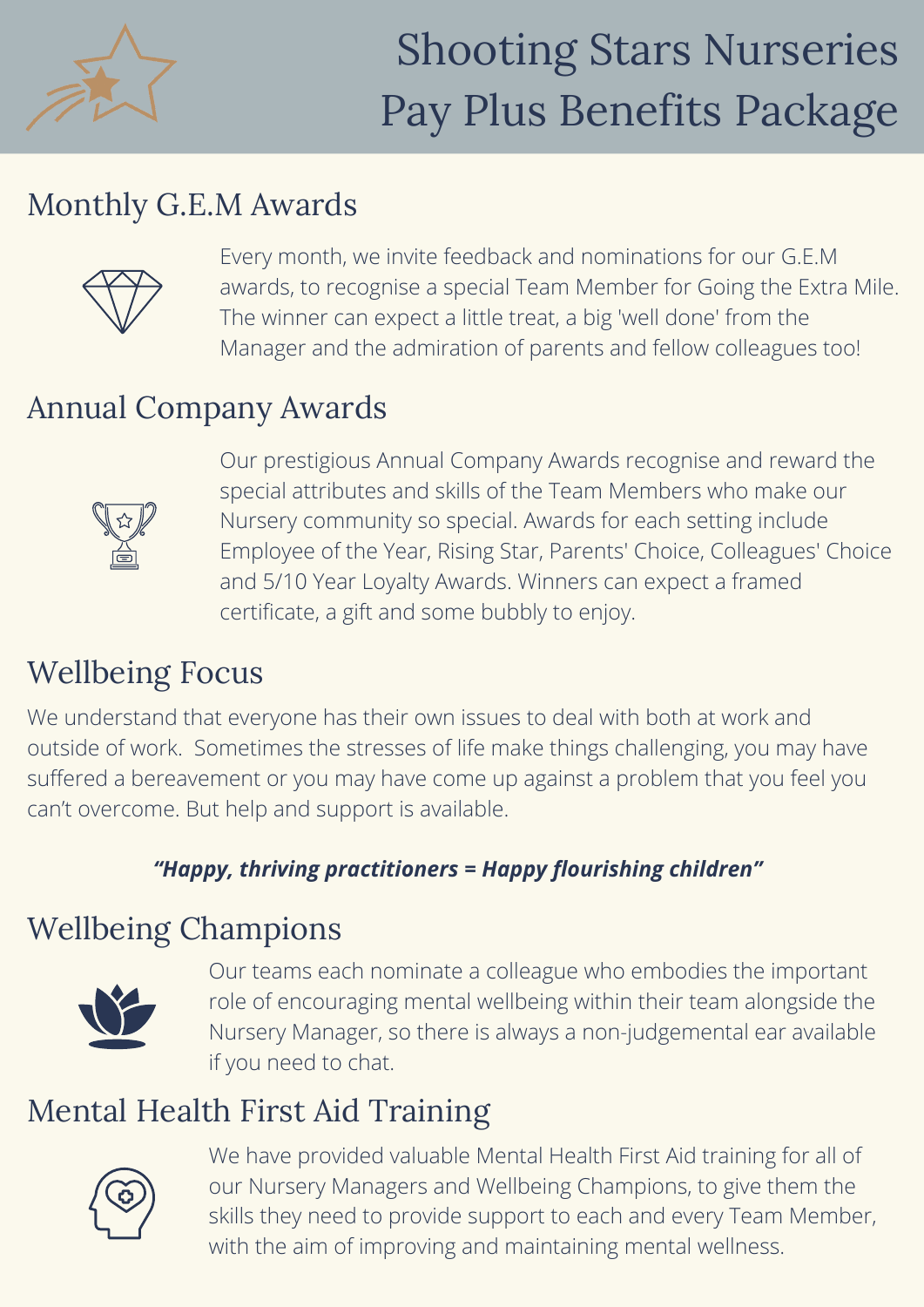

## Monthly G.E.M Awards



Every month, we invite feedback and nominations for our G.E.M awards, to recognise a special Team Member for Going the Extra Mile. The winner can expect a little treat, a big 'well done' from the Manager and the admiration of parents and fellow colleagues too!

## Annual Company Awards



Our prestigious Annual Company Awards recognise and reward the special attributes and skills of the Team Members who make our Nursery community so special. Awards for each setting include Employee of the Year, Rising Star, Parents' Choice, Colleagues' Choice and 5/10 Year Loyalty Awards. Winners can expect a framed certificate, a gift and some bubbly to enjoy.

# Wellbeing Focus

We understand that everyone has their own issues to deal with both at work and outside of work. Sometimes the stresses of life make things challenging, you may have suffered a bereavement or you may have come up against a problem that you feel you can't overcome. But help and support is available.

#### *"Happy, thriving practitioners = Happy flourishing children"*

## Wellbeing Champions



Our teams each nominate a colleague who embodies the important role of encouraging mental wellbeing within their team alongside the Nursery Manager, so there is always a non-judgemental ear available if you need to chat.

## Mental Health First Aid Training



We have provided valuable Mental Health First Aid training for all of our Nursery Managers and Wellbeing Champions, to give them the skills they need to provide support to each and every Team Member, with the aim of improving and maintaining mental wellness.